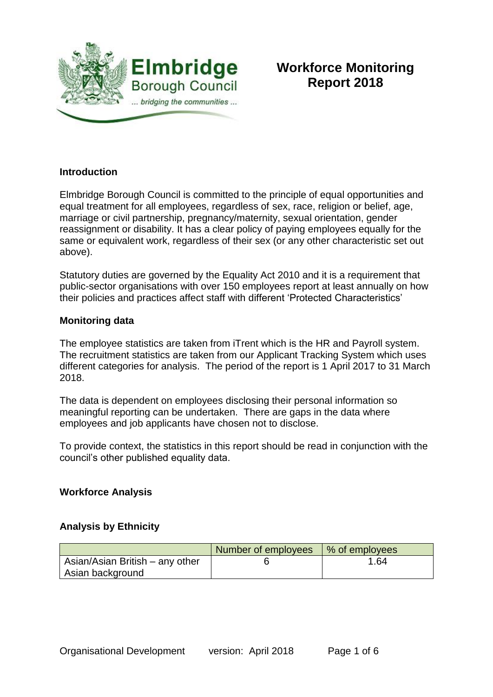

# **Workforce Monitoring Report 2018**

### **Introduction**

Elmbridge Borough Council is committed to the principle of equal opportunities and equal treatment for all employees, regardless of sex, race, religion or belief, age, marriage or civil partnership, pregnancy/maternity, sexual orientation, gender reassignment or disability. It has a clear policy of paying employees equally for the same or equivalent work, regardless of their sex (or any other characteristic set out above).

Statutory duties are governed by the Equality Act 2010 and it is a requirement that public-sector organisations with over 150 employees report at least annually on how their policies and practices affect staff with different 'Protected Characteristics'

#### **Monitoring data**

The employee statistics are taken from iTrent which is the HR and Payroll system. The recruitment statistics are taken from our Applicant Tracking System which uses different categories for analysis. The period of the report is 1 April 2017 to 31 March 2018.

The data is dependent on employees disclosing their personal information so meaningful reporting can be undertaken. There are gaps in the data where employees and job applicants have chosen not to disclose.

To provide context, the statistics in this report should be read in conjunction with the council's other published equality data.

### **Workforce Analysis**

### **Analysis by Ethnicity**

|                                 | Number of employees | Ⅰ % of employees |
|---------------------------------|---------------------|------------------|
| Asian/Asian British – any other |                     | 1.64             |
| Asian background                |                     |                  |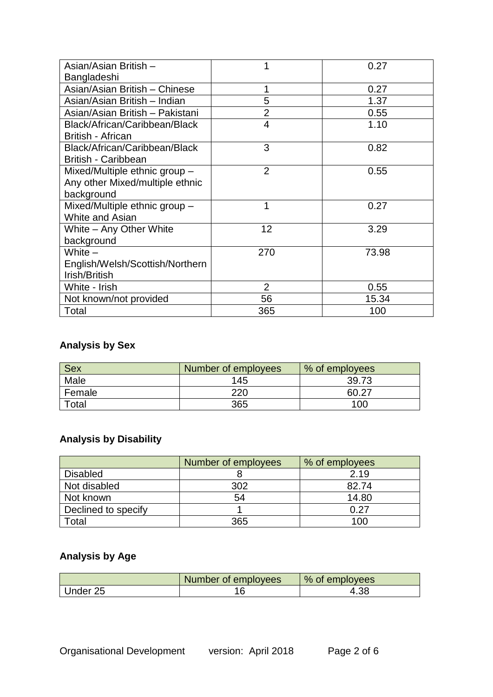| Asian/Asian British -           |                | 0.27  |
|---------------------------------|----------------|-------|
| Bangladeshi                     |                |       |
| Asian/Asian British - Chinese   |                | 0.27  |
| Asian/Asian British - Indian    | 5              | 1.37  |
| Asian/Asian British - Pakistani | $\overline{2}$ | 0.55  |
| Black/African/Caribbean/Black   | $\overline{4}$ | 1.10  |
| <b>British - African</b>        |                |       |
| Black/African/Caribbean/Black   | 3              | 0.82  |
| <b>British - Caribbean</b>      |                |       |
| Mixed/Multiple ethnic group -   | $\overline{2}$ | 0.55  |
| Any other Mixed/multiple ethnic |                |       |
| background                      |                |       |
| Mixed/Multiple ethnic group -   | 1              | 0.27  |
| White and Asian                 |                |       |
| White - Any Other White         | 12             | 3.29  |
| background                      |                |       |
| White $-$                       | 270            | 73.98 |
| English/Welsh/Scottish/Northern |                |       |
| Irish/British                   |                |       |
| White - Irish                   | $\overline{2}$ | 0.55  |
| Not known/not provided          | 56             | 15.34 |
| Total                           | 365            | 100   |

# **Analysis by Sex**

| <b>Sex</b> | Number of employees | % of employees |
|------------|---------------------|----------------|
| Male       | 145                 | 39.73          |
| Female     | 220                 | 60.27          |
| Total      | 365                 | 10C            |

# **Analysis by Disability**

|                     | Number of employees | % of employees |
|---------------------|---------------------|----------------|
| <b>Disabled</b>     |                     | 2.19           |
| Not disabled        | 302                 | 82.74          |
| Not known           | 54                  | 14.80          |
| Declined to specify |                     | በ 27           |
| Total               | 365                 | 100            |

# **Analysis by Age**

|          | Number of employees | % of employees |
|----------|---------------------|----------------|
| Under 25 |                     | 4.38           |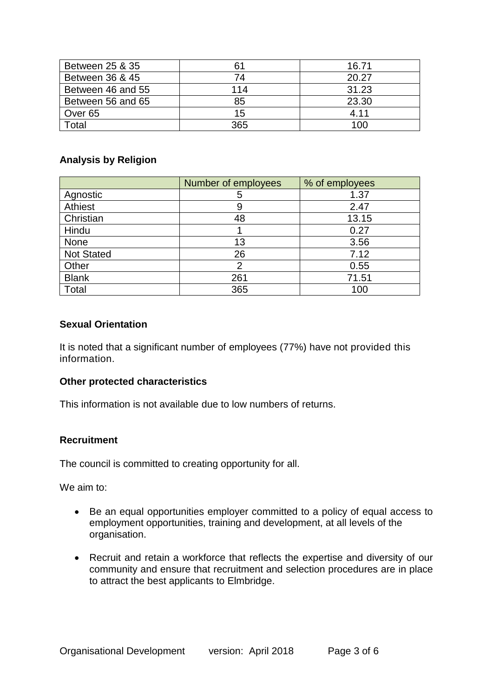| Between 25 & 35   |     | 16.71 |
|-------------------|-----|-------|
| Between 36 & 45   | 74  | 20.27 |
| Between 46 and 55 | 114 | 31.23 |
| Between 56 and 65 | 85  | 23.30 |
| Over 65           | 15  | 4.11  |
| Total             | 365 | 100   |

### **Analysis by Religion**

|                   | Number of employees | % of employees |
|-------------------|---------------------|----------------|
| Agnostic          | 5                   | 1.37           |
| Athiest           | 9                   | 2.47           |
| Christian         | 48                  | 13.15          |
| Hindu             |                     | 0.27           |
| None              | 13                  | 3.56           |
| <b>Not Stated</b> | 26                  | 7.12           |
| Other             | っ                   | 0.55           |
| <b>Blank</b>      | 261                 | 71.51          |
| Total             | 365                 | 100            |

#### **Sexual Orientation**

It is noted that a significant number of employees (77%) have not provided this information.

#### **Other protected characteristics**

This information is not available due to low numbers of returns.

### **Recruitment**

The council is committed to creating opportunity for all.

We aim to:

- Be an equal opportunities employer committed to a policy of equal access to employment opportunities, training and development, at all levels of the organisation.
- Recruit and retain a workforce that reflects the expertise and diversity of our community and ensure that recruitment and selection procedures are in place to attract the best applicants to Elmbridge.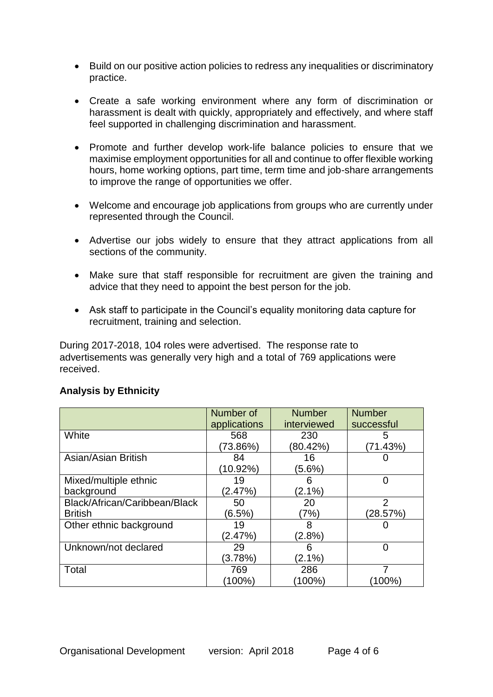- Build on our positive action policies to redress any inequalities or discriminatory practice.
- Create a safe working environment where any form of discrimination or harassment is dealt with quickly, appropriately and effectively, and where staff feel supported in challenging discrimination and harassment.
- Promote and further develop work-life balance policies to ensure that we maximise employment opportunities for all and continue to offer flexible working hours, home working options, part time, term time and job-share arrangements to improve the range of opportunities we offer.
- Welcome and encourage job applications from groups who are currently under represented through the Council.
- Advertise our jobs widely to ensure that they attract applications from all sections of the community.
- Make sure that staff responsible for recruitment are given the training and advice that they need to appoint the best person for the job.
- Ask staff to participate in the Council's equality monitoring data capture for recruitment, training and selection.

During 2017-2018, 104 roles were advertised. The response rate to advertisements was generally very high and a total of 769 applications were received.

|                               | Number of    | <b>Number</b> | <b>Number</b>  |
|-------------------------------|--------------|---------------|----------------|
|                               | applications | interviewed   | successful     |
| White                         | 568          | 230           | 5              |
|                               | (73.86%)     | (80.42%)      | (71.43%)       |
| Asian/Asian British           | 84           | 16            |                |
|                               | (10.92%)     | $(5.6\%)$     |                |
| Mixed/multiple ethnic         | 19           |               | 0              |
| background                    | (2.47%)      | $(2.1\%)$     |                |
| Black/African/Caribbean/Black | 50           | 20            | $\overline{2}$ |
| <b>British</b>                | (6.5%)       | (7%)          | (28.57%)       |
| Other ethnic background       | 19           | 8             |                |
|                               | (2.47%)      | $(2.8\%)$     |                |
| Unknown/not declared          | 29           | 6             | 0              |
|                               | (3.78%)      | $(2.1\%)$     |                |
| Total                         | 769          | 286           |                |
|                               | $(100\%)$    | (100%)        | (100%)         |

## **Analysis by Ethnicity**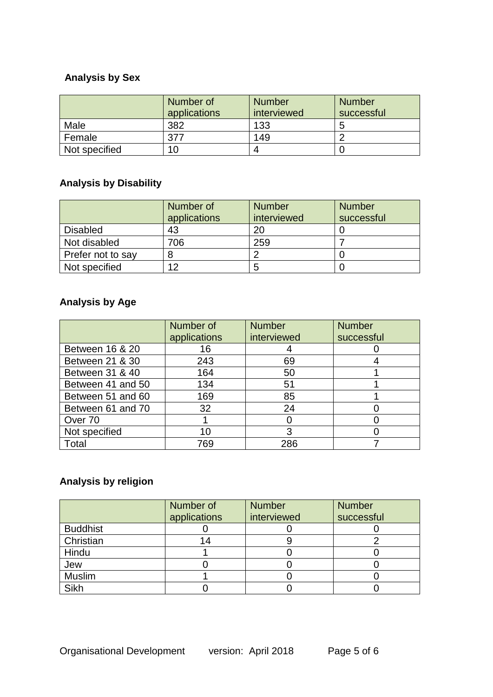# **Analysis by Sex**

|               | Number of<br>applications | <b>Number</b><br>interviewed | <b>Number</b><br>successful |
|---------------|---------------------------|------------------------------|-----------------------------|
| Male          | 382                       | 133                          | О                           |
| Female        |                           | 149                          |                             |
| Not specified |                           | Д                            |                             |

# **Analysis by Disability**

|                   | Number of<br>applications | <b>Number</b><br>interviewed | <b>Number</b><br>successful |
|-------------------|---------------------------|------------------------------|-----------------------------|
| <b>Disabled</b>   | 43                        | 20                           |                             |
| Not disabled      | 706                       | 259                          |                             |
| Prefer not to say |                           |                              |                             |
| Not specified     | 12                        | b                            |                             |

# **Analysis by Age**

|                   | Number of    | <b>Number</b> | <b>Number</b> |
|-------------------|--------------|---------------|---------------|
|                   | applications | interviewed   | successful    |
| Between 16 & 20   | 16           |               |               |
| Between 21 & 30   | 243          | 69            |               |
| Between 31 & 40   | 164          | 50            |               |
| Between 41 and 50 | 134          | 51            |               |
| Between 51 and 60 | 169          | 85            |               |
| Between 61 and 70 | 32           | 24            |               |
| Over 70           |              |               |               |
| Not specified     | 10           | 3             |               |
| Total             | 769          | 286           |               |

# **Analysis by religion**

|                 | Number of<br>applications | <b>Number</b><br>interviewed | <b>Number</b><br>successful |
|-----------------|---------------------------|------------------------------|-----------------------------|
| <b>Buddhist</b> |                           |                              |                             |
| Christian       | 14                        |                              |                             |
| Hindu           |                           |                              |                             |
| Jew             |                           |                              |                             |
| <b>Muslim</b>   |                           |                              |                             |
| <b>Sikh</b>     |                           |                              |                             |